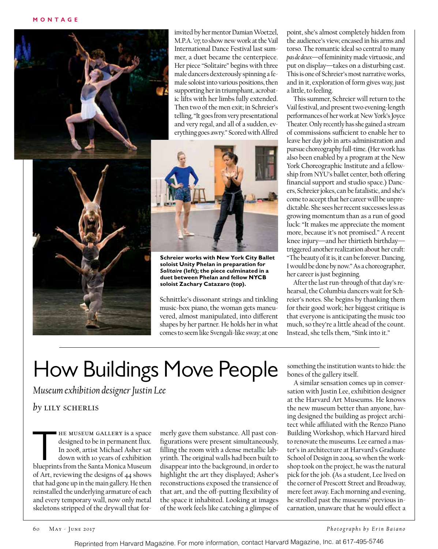

invited by her mentor Damian Woetzel, M.P.A. '07, to show new work at the Vail International Dance Festival last summer, a duet became the centerpiece. Her piece "Solitaire" begins with three male dancers dexterously spinning a female soloist into various positions, then supporting her in triumphant, acrobatic lifts with her limbs fully extended. Then two of the men exit; in Schreier's telling, "It goes from very presentational and very regal, and all of a sudden, everything goes awry." Scored with Alfred



**Schreier works with New York City Ballet soloist Unity Phelan in preparation for**  *Solitaire* **(left); the piece culminated in a duet between Phelan and fellow NYCB soloist Zachary Catazaro (top).**

Schnittke's dissonant strings and tinkling music-box piano, the woman gets maneuvered, almost manipulated, into different shapes by her partner. He holds her in what comes to seem like Svengali-like sway; at one

point, she's almost completely hidden from the audience's view, encased in his arms and torso. The romantic ideal so central to many *pas de deux*—of femininity made virtuosic, and put on display—takes on a disturbing cast. This is one of Schreier's most narrative works, and in it, exploration of form gives way, just a little, to feeling.

This summer, Schreier will return to the Vail festival, and present two evening-length performances of her work at New York's Joyce Theater. Only recently has she gained a stream of commissions sufficient to enable her to leave her day job in arts administration and pursue choreography full-time. (Her work has also been enabled by a program at the New York Choreographic Institute and a fellowship from NYU's ballet center, both offering financial support and studio space.) Dancers, Schreier jokes, can be fatalistic, and she's come to accept that her career will be unpredictable. She sees her recent successes less as growing momentum than as a run of good luck: "It makes me appreciate the moment more, because it's not promised." A recent knee injury—and her thirtieth birthday triggered another realization about her craft: "The beauty of it is, it can be forever. Dancing, I would be done by now." As a choreographer, her career is just beginning.

After the last run-through of that day's rehearsal, the Columbia dancers wait for Schreier's notes. She begins by thanking them for their good work; her biggest critique is that everyone is anticipating the music too much, so they're a little ahead of the count. Instead, she tells them, "Sink into it."

## How Buildings Move People

*Museum exhibition designer Justin Lee*

## *by* lily scherlis

HE MUSEUM GALLERY is a space<br>designed to be in permanent flux.<br>In 2008, artist Michael Asher sat<br>down with 10 years of exhibition<br>blueprints from the Santa Monica Museum designed to be in permanent flux. In 2008, artist Michael Asher sat down with 10 years of exhibition of Art, reviewing the designs of 44 shows that had gone up in the main gallery. He then reinstalled the underlying armature of each and every temporary wall, now only metal skeletons stripped of the drywall that for-

merly gave them substance. All past configurations were present simultaneously, filling the room with a dense metallic labyrinth. The original walls had been built to disappear into the background, in order to highlight the art they displayed; Asher's reconstructions exposed the transience of that art, and the off-putting flexibility of the space it inhabited. Looking at images of the work feels like catching a glimpse of

something the institution wants to hide: the bones of the gallery itself.

A similar sensation comes up in conversation with Justin Lee, exhibition designer at the Harvard Art Museums. He knows the new museum better than anyone, having designed the building as project architect while affiliated with the Renzo Piano Building Workshop, which Harvard hired to renovate the museums. Lee earned a master's in architecture at Harvard's Graduate School of Design in 2004, so when the workshop took on the project, he was the natural pick for the job. (As a student, Lee lived on the corner of Prescott Street and Broadway, mere feet away. Each morning and evening, he strolled past the museums' previous incarnation, unaware that he would effect a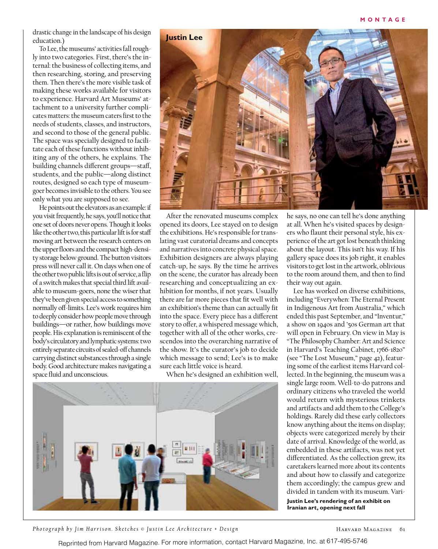drastic change in the landscape of his design education.)

To Lee, the museums' activities fall roughly into two categories. First, there's the internal: the business of collecting items, and then researching, storing, and preserving them. Then there's the more visible task of making these works available for visitors to experience. Harvard Art Museums' attachment to a university further complicates matters: the museum caters first to the needs of students, classes, and instructors, and second to those of the general public. The space was specially designed to facilitate each of these functions without inhibiting any of the others, he explains. The building channels different groups—staff, students, and the public—along distinct routes, designed so each type of museumgoer becomes invisible to the others. You see only what you are supposed to see.

He points out the elevators as an example: if you visit frequently, he says, you'll notice that one set of doors never opens. Though it looks like the other two, this particular lift is for staff moving art between the research centers on the upper floors and the compact high-density storage below ground. The button visitors press will never call it. On days when one of the other two public lifts is out of service, a flip of a switch makes that special third lift available to museum-goers, none the wiser that they've been given special access to something normally off-limits. Lee's work requires him to deeply consider how people move through buildings—or rather, how buildings move people. His explanation is reminiscent of the body's circulatory and lymphatic systems: two entirely separate circuits of sealed-off channels carrying distinct substances through a single body. Good architecture makes navigating a space fluid and unconscious.



After the renovated museums complex opened its doors, Lee stayed on to design the exhibitions. He's responsible for translating vast curatorial dreams and concepts and narratives into concrete physical space. Exhibition designers are always playing catch-up, he says. By the time he arrives on the scene, the curator has already been researching and conceptualizing an exhibition for months, if not years. Usually there are far more pieces that fit well with an exhibition's theme than can actually fit into the space. Every piece has a different story to offer, a whispered message which, together with all of the other works, crescendos into the overarching narrative of the show. It's the curator's job to decide which message to send; Lee's is to make sure each little voice is heard.

When he's designed an exhibition well,



*Photograph by Jim Harrison. Sketches © Justin Lee Architecture + Design*

he says, no one can tell he's done anything at all. When he's visited spaces by designers who flaunt their personal style, his experience of the art got lost beneath thinking about the layout. This isn't his way. If his gallery space does its job right, it enables visitors to get lost in the artwork, oblivious to the room around them, and then to find their way out again.

Lee has worked on diverse exhibitions, including "Everywhen: The Eternal Present in Indigenous Art from Australia," which ended this past September, and "Inventur," a show on 1940s and '50s German art that will open in February. On view in May is "The Philosophy Chamber: Art and Science in Harvard's Teaching Cabinet, 1766-1820" (see "The Lost Museum," page 42), featuring some of the earliest items Harvard collected. In the beginning, the museum was a single large room. Well-to-do patrons and ordinary citizens who traveled the world would return with mysterious trinkets and artifacts and add them to the College's holdings. Rarely did these early collectors know anything about the items on display; objects were categorized merely by their date of arrival. Knowledge of the world, as embedded in these artifacts, was not yet differentiated. As the collection grew, its caretakers learned more about its contents and about how to classify and categorize them accordingly; the campus grew and divided in tandem with its museum. Vari-

**Justin Lee's rendering of an exhibit on Iranian art, opening next fall**

Reprinted from Harvard Magazine. For more information, contact Harvard Magazine, Inc. at 617-495-5746